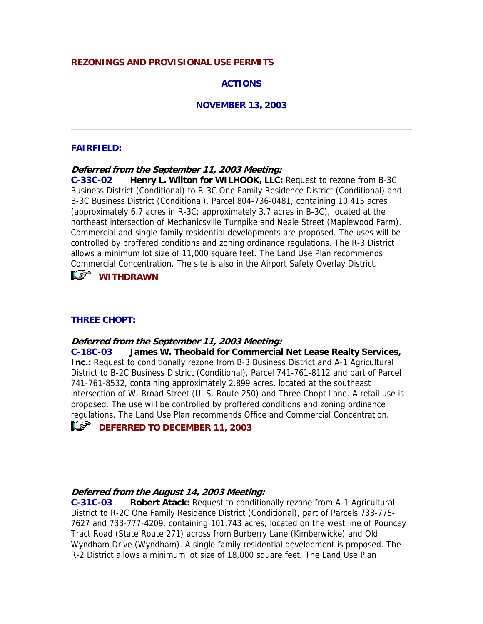### **REZONINGS AND PROVISIONAL USE PERMITS**

## **ACTIONS**

### **NOVEMBER 13, 2003**

### **FAIRFIELD:**

**Deferred from the September 11, 2003 Meeting:**

**C-33C-02 Henry L. Wilton for WILHOOK, LLC:** Request to rezone from B-3C Business District (Conditional) to R-3C One Family Residence District (Conditional) and B-3C Business District (Conditional), Parcel 804-736-0481, containing 10.415 acres (approximately 6.7 acres in R-3C; approximately 3.7 acres in B-3C), located at the northeast intersection of Mechanicsville Turnpike and Neale Street (Maplewood Farm). Commercial and single family residential developments are proposed. The uses will be controlled by proffered conditions and zoning ordinance regulations. The R-3 District allows a minimum lot size of 11,000 square feet. The Land Use Plan recommends Commercial Concentration. The site is also in the Airport Safety Overlay District.

# *<b>WITHDRAWN*

## **THREE CHOPT:**

### **Deferred from the September 11, 2003 Meeting:**

**C-18C-03 James W. Theobald for Commercial Net Lease Realty Services, Inc.:** Request to conditionally rezone from B-3 Business District and A-1 Agricultural District to B-2C Business District (Conditional), Parcel 741-761-8112 and part of Parcel 741-761-8532, containing approximately 2.899 acres, located at the southeast intersection of W. Broad Street (U. S. Route 250) and Three Chopt Lane. A retail use is proposed. The use will be controlled by proffered conditions and zoning ordinance regulations. The Land Use Plan recommends Office and Commercial Concentration.



### **Deferred from the August 14, 2003 Meeting:**

**C-31C-03 Robert Atack:** Request to conditionally rezone from A-1 Agricultural District to R-2C One Family Residence District (Conditional), part of Parcels 733-775- 7627 and 733-777-4209, containing 101.743 acres, located on the west line of Pouncey Tract Road (State Route 271) across from Burberry Lane (Kimberwicke) and Old Wyndham Drive (Wyndham). A single family residential development is proposed. The R-2 District allows a minimum lot size of 18,000 square feet. The Land Use Plan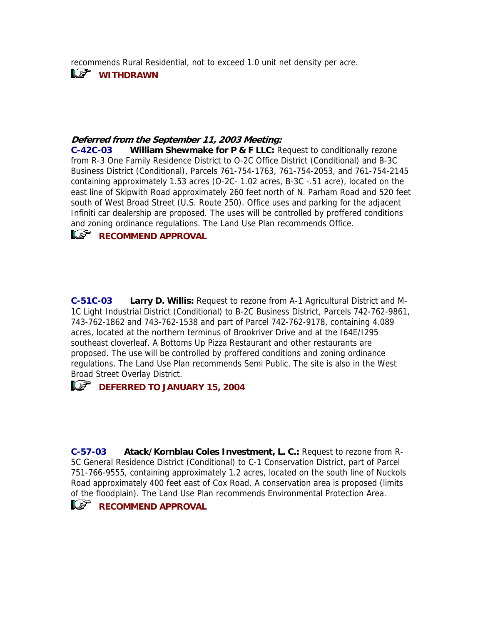recommends Rural Residential, not to exceed 1.0 unit net density per acre.

**WITHDRAWN** 

## **Deferred from the September 11, 2003 Meeting:**

**C-42C-03 William Shewmake for P & F LLC:** Request to conditionally rezone from R-3 One Family Residence District to O-2C Office District (Conditional) and B-3C Business District (Conditional), Parcels 761-754-1763, 761-754-2053, and 761-754-2145 containing approximately 1.53 acres (O-2C- 1.02 acres, B-3C -.51 acre), located on the east line of Skipwith Road approximately 260 feet north of N. Parham Road and 520 feet south of West Broad Street (U.S. Route 250). Office uses and parking for the adjacent Infiniti car dealership are proposed. The uses will be controlled by proffered conditions and zoning ordinance regulations. The Land Use Plan recommends Office.



**C-51C-03 Larry D. Willis:** Request to rezone from A-1 Agricultural District and M-1C Light Industrial District (Conditional) to B-2C Business District, Parcels 742-762-9861, 743-762-1862 and 743-762-1538 and part of Parcel 742-762-9178, containing 4.089 acres, located at the northern terminus of Brookriver Drive and at the I64E/I295 southeast cloverleaf. A Bottoms Up Pizza Restaurant and other restaurants are proposed. The use will be controlled by proffered conditions and zoning ordinance regulations. The Land Use Plan recommends Semi Public. The site is also in the West Broad Street Overlay District.

# *CC* DEFERRED TO JANUARY 15, 2004

**C-57-03 Atack/Kornblau Coles Investment, L. C.:** Request to rezone from R-5C General Residence District (Conditional) to C-1 Conservation District, part of Parcel 751-766-9555, containing approximately 1.2 acres, located on the south line of Nuckols Road approximately 400 feet east of Cox Road. A conservation area is proposed (limits of the floodplain). The Land Use Plan recommends Environmental Protection Area.

# **RECOMMEND APPROVAL**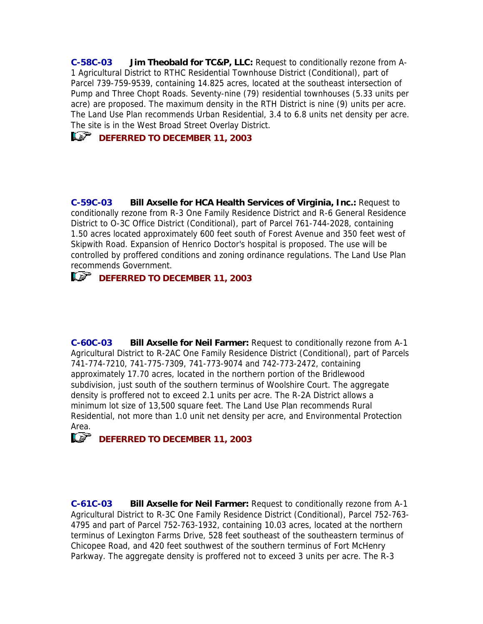**C-58C-03 Jim Theobald for TC&P, LLC:** Request to conditionally rezone from A-1 Agricultural District to RTHC Residential Townhouse District (Conditional), part of Parcel 739-759-9539, containing 14.825 acres, located at the southeast intersection of Pump and Three Chopt Roads. Seventy-nine (79) residential townhouses (5.33 units per acre) are proposed. The maximum density in the RTH District is nine (9) units per acre. The Land Use Plan recommends Urban Residential, 3.4 to 6.8 units net density per acre. The site is in the West Broad Street Overlay District.

# *CC* DEFERRED TO DECEMBER 11, 2003

**C-59C-03 Bill Axselle for HCA Health Services of Virginia, Inc.:** Request to conditionally rezone from R-3 One Family Residence District and R-6 General Residence District to O-3C Office District (Conditional), part of Parcel 761-744-2028, containing 1.50 acres located approximately 600 feet south of Forest Avenue and 350 feet west of Skipwith Road. Expansion of Henrico Doctor's hospital is proposed. The use will be controlled by proffered conditions and zoning ordinance regulations. The Land Use Plan recommends Government.

# **IS DEFERRED TO DECEMBER 11, 2003**

**C-60C-03 Bill Axselle for Neil Farmer:** Request to conditionally rezone from A-1 Agricultural District to R-2AC One Family Residence District (Conditional), part of Parcels 741-774-7210, 741-775-7309, 741-773-9074 and 742-773-2472, containing approximately 17.70 acres, located in the northern portion of the Bridlewood subdivision, just south of the southern terminus of Woolshire Court. The aggregate density is proffered not to exceed 2.1 units per acre. The R-2A District allows a minimum lot size of 13,500 square feet. The Land Use Plan recommends Rural Residential, not more than 1.0 unit net density per acre, and Environmental Protection Area.

# *C<sub>2</sub>* **DEFERRED TO DECEMBER 11, 2003**

**C-61C-03 Bill Axselle for Neil Farmer:** Request to conditionally rezone from A-1 Agricultural District to R-3C One Family Residence District (Conditional), Parcel 752-763- 4795 and part of Parcel 752-763-1932, containing 10.03 acres, located at the northern terminus of Lexington Farms Drive, 528 feet southeast of the southeastern terminus of Chicopee Road, and 420 feet southwest of the southern terminus of Fort McHenry Parkway. The aggregate density is proffered not to exceed 3 units per acre. The R-3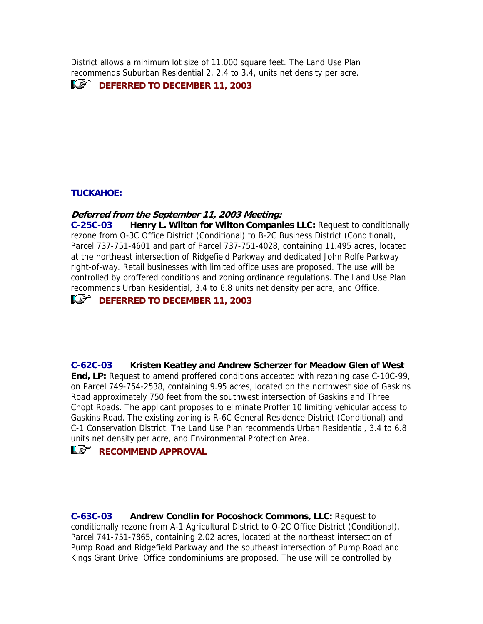District allows a minimum lot size of 11,000 square feet. The Land Use Plan recommends Suburban Residential 2, 2.4 to 3.4, units net density per acre.

**IF DEFERRED TO DECEMBER 11, 2003** 

## **TUCKAHOE:**

### **Deferred from the September 11, 2003 Meeting:**

**C-25C-03 Henry L. Wilton for Wilton Companies LLC:** Request to conditionally rezone from O-3C Office District (Conditional) to B-2C Business District (Conditional), Parcel 737-751-4601 and part of Parcel 737-751-4028, containing 11.495 acres, located at the northeast intersection of Ridgefield Parkway and dedicated John Rolfe Parkway right-of-way. Retail businesses with limited office uses are proposed. The use will be controlled by proffered conditions and zoning ordinance regulations. The Land Use Plan recommends Urban Residential, 3.4 to 6.8 units net density per acre, and Office.

# *C<sub>2</sub>* **DEFERRED TO DECEMBER 11, 2003**

**C-62C-03 Kristen Keatley and Andrew Scherzer for Meadow Glen of West End, LP:** Request to amend proffered conditions accepted with rezoning case C-10C-99, on Parcel 749-754-2538, containing 9.95 acres, located on the northwest side of Gaskins Road approximately 750 feet from the southwest intersection of Gaskins and Three Chopt Roads. The applicant proposes to eliminate Proffer 10 limiting vehicular access to Gaskins Road. The existing zoning is R-6C General Residence District (Conditional) and C-1 Conservation District. The Land Use Plan recommends Urban Residential, 3.4 to 6.8 units net density per acre, and Environmental Protection Area.

# **RECOMMEND APPROVAL**

**C-63C-03 Andrew Condlin for Pocoshock Commons, LLC:** Request to conditionally rezone from A-1 Agricultural District to O-2C Office District (Conditional), Parcel 741-751-7865, containing 2.02 acres, located at the northeast intersection of Pump Road and Ridgefield Parkway and the southeast intersection of Pump Road and Kings Grant Drive. Office condominiums are proposed. The use will be controlled by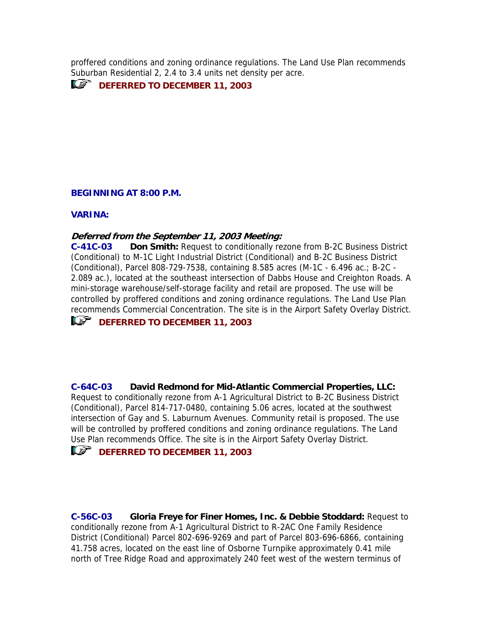proffered conditions and zoning ordinance regulations. The Land Use Plan recommends Suburban Residential 2, 2.4 to 3.4 units net density per acre.

**IF DEFERRED TO DECEMBER 11, 2003** 

### **BEGINNING AT 8:00 P.M.**

#### **VARINA:**

### **Deferred from the September 11, 2003 Meeting:**

**C-41C-03 Don Smith:** Request to conditionally rezone from B-2C Business District (Conditional) to M-1C Light Industrial District (Conditional) and B-2C Business District (Conditional), Parcel 808-729-7538, containing 8.585 acres (M-1C - 6.496 ac.; B-2C - 2.089 ac.), located at the southeast intersection of Dabbs House and Creighton Roads. A mini-storage warehouse/self-storage facility and retail are proposed. The use will be controlled by proffered conditions and zoning ordinance regulations. The Land Use Plan recommends Commercial Concentration. The site is in the Airport Safety Overlay District.

# *CC* DEFERRED TO DECEMBER 11, 2003

**C-64C-03 David Redmond for Mid-Atlantic Commercial Properties, LLC:** Request to conditionally rezone from A-1 Agricultural District to B-2C Business District (Conditional), Parcel 814-717-0480, containing 5.06 acres, located at the southwest intersection of Gay and S. Laburnum Avenues. Community retail is proposed. The use will be controlled by proffered conditions and zoning ordinance regulations. The Land Use Plan recommends Office. The site is in the Airport Safety Overlay District.

# **IF DEFERRED TO DECEMBER 11, 2003**

**C-56C-03 Gloria Freye for Finer Homes, Inc. & Debbie Stoddard:** Request to conditionally rezone from A-1 Agricultural District to R-2AC One Family Residence District (Conditional) Parcel 802-696-9269 and part of Parcel 803-696-6866, containing 41.758 acres, located on the east line of Osborne Turnpike approximately 0.41 mile north of Tree Ridge Road and approximately 240 feet west of the western terminus of